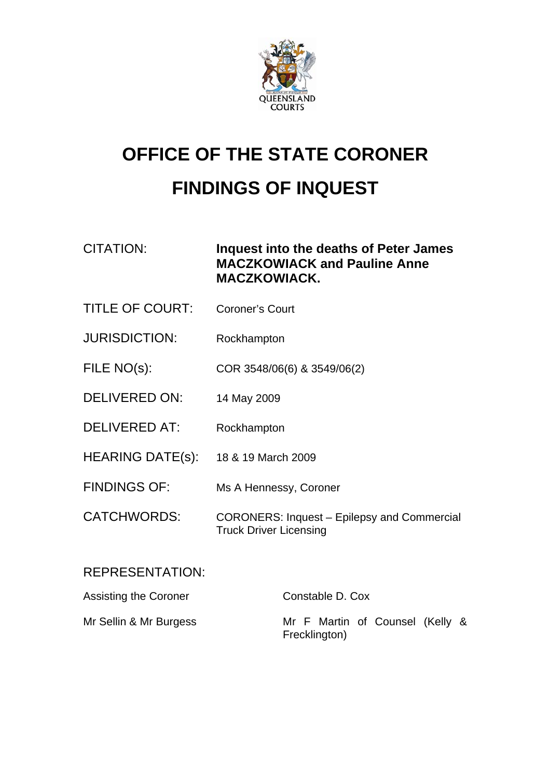

# **OFFICE OF THE STATE CORONER FINDINGS OF INQUEST**

CITATION: **Inquest into the deaths of Peter James MACZKOWIACK and Pauline Anne MACZKOWIACK.** 

- TITLE OF COURT: Coroner's Court
- JURISDICTION: Rockhampton
- FILE NO(s): COR 3548/06(6) & 3549/06(2)
- DELIVERED ON: 14 May 2009
- DELIVERED AT: Rockhampton
- HEARING DATE(s): 18 & 19 March 2009
- FINDINGS OF: Ms A Hennessy, Coroner
- CATCHWORDS: CORONERS: Inquest Epilepsy and Commercial Truck Driver Licensing

REPRESENTATION: Assisting the Coroner Constable D. Cox Mr Sellin & Mr Burgess Mr F Martin of Counsel (Kelly & Frecklington)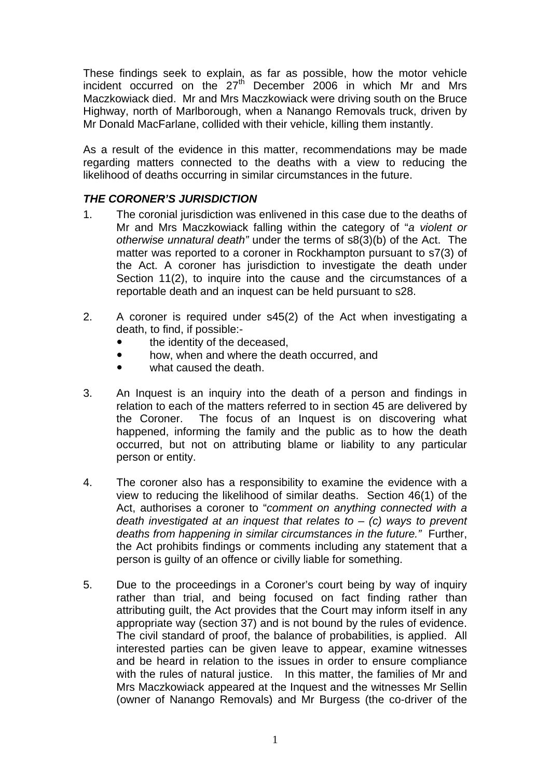These findings seek to explain, as far as possible, how the motor vehicle incident occurred on the 27<sup>th</sup> December 2006 in which Mr and Mrs Maczkowiack died. Mr and Mrs Maczkowiack were driving south on the Bruce Highway, north of Marlborough, when a Nanango Removals truck, driven by Mr Donald MacFarlane, collided with their vehicle, killing them instantly.

As a result of the evidence in this matter, recommendations may be made regarding matters connected to the deaths with a view to reducing the likelihood of deaths occurring in similar circumstances in the future.

## *THE CORONER'S JURISDICTION*

- 1. The coronial jurisdiction was enlivened in this case due to the deaths of Mr and Mrs Maczkowiack falling within the category of "*a violent or otherwise unnatural death"* under the terms of s8(3)(b) of the Act. The matter was reported to a coroner in Rockhampton pursuant to s7(3) of the Act. A coroner has jurisdiction to investigate the death under Section 11(2), to inquire into the cause and the circumstances of a reportable death and an inquest can be held pursuant to s28.
- 2. A coroner is required under s45(2) of the Act when investigating a death, to find, if possible:
	- the identity of the deceased.
	- how, when and where the death occurred, and
	- what caused the death.
- 3. An Inquest is an inquiry into the death of a person and findings in relation to each of the matters referred to in section 45 are delivered by the Coroner. The focus of an Inquest is on discovering what happened, informing the family and the public as to how the death occurred, but not on attributing blame or liability to any particular person or entity.
- 4. The coroner also has a responsibility to examine the evidence with a view to reducing the likelihood of similar deaths. Section 46(1) of the Act, authorises a coroner to "*comment on anything connected with a death investigated at an inquest that relates to* – *(c) ways to prevent deaths from happening in similar circumstances in the future."* Further, the Act prohibits findings or comments including any statement that a person is guilty of an offence or civilly liable for something.
- 5. Due to the proceedings in a Coroner's court being by way of inquiry rather than trial, and being focused on fact finding rather than attributing guilt, the Act provides that the Court may inform itself in any appropriate way (section 37) and is not bound by the rules of evidence. The civil standard of proof, the balance of probabilities, is applied. All interested parties can be given leave to appear, examine witnesses and be heard in relation to the issues in order to ensure compliance with the rules of natural justice. In this matter, the families of Mr and Mrs Maczkowiack appeared at the Inquest and the witnesses Mr Sellin (owner of Nanango Removals) and Mr Burgess (the co-driver of the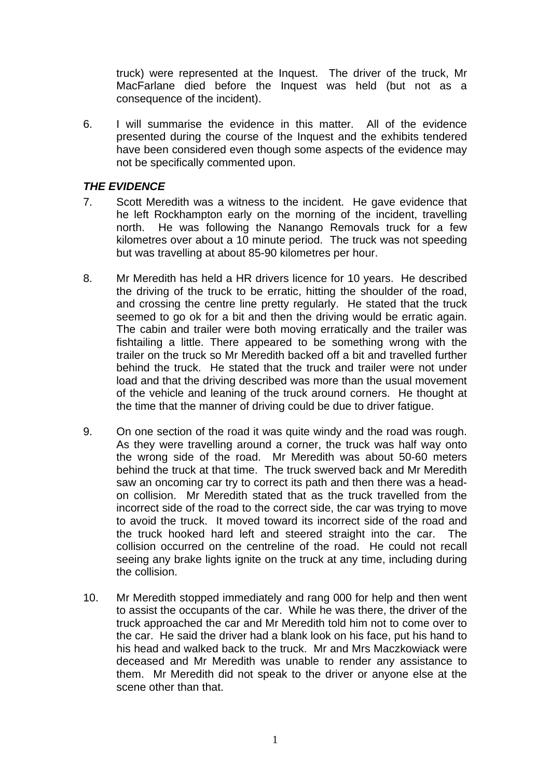truck) were represented at the Inquest. The driver of the truck, Mr MacFarlane died before the Inquest was held (but not as a consequence of the incident).

6. I will summarise the evidence in this matter. All of the evidence presented during the course of the Inquest and the exhibits tendered have been considered even though some aspects of the evidence may not be specifically commented upon.

## *THE EVIDENCE*

- 7. Scott Meredith was a witness to the incident. He gave evidence that he left Rockhampton early on the morning of the incident, travelling north. He was following the Nanango Removals truck for a few kilometres over about a 10 minute period. The truck was not speeding but was travelling at about 85-90 kilometres per hour.
- 8. Mr Meredith has held a HR drivers licence for 10 years. He described the driving of the truck to be erratic, hitting the shoulder of the road, and crossing the centre line pretty regularly. He stated that the truck seemed to go ok for a bit and then the driving would be erratic again. The cabin and trailer were both moving erratically and the trailer was fishtailing a little. There appeared to be something wrong with the trailer on the truck so Mr Meredith backed off a bit and travelled further behind the truck. He stated that the truck and trailer were not under load and that the driving described was more than the usual movement of the vehicle and leaning of the truck around corners. He thought at the time that the manner of driving could be due to driver fatigue.
- 9. On one section of the road it was quite windy and the road was rough. As they were travelling around a corner, the truck was half way onto the wrong side of the road. Mr Meredith was about 50-60 meters behind the truck at that time. The truck swerved back and Mr Meredith saw an oncoming car try to correct its path and then there was a headon collision. Mr Meredith stated that as the truck travelled from the incorrect side of the road to the correct side, the car was trying to move to avoid the truck. It moved toward its incorrect side of the road and the truck hooked hard left and steered straight into the car. The collision occurred on the centreline of the road. He could not recall seeing any brake lights ignite on the truck at any time, including during the collision.
- 10. Mr Meredith stopped immediately and rang 000 for help and then went to assist the occupants of the car. While he was there, the driver of the truck approached the car and Mr Meredith told him not to come over to the car. He said the driver had a blank look on his face, put his hand to his head and walked back to the truck. Mr and Mrs Maczkowiack were deceased and Mr Meredith was unable to render any assistance to them. Mr Meredith did not speak to the driver or anyone else at the scene other than that.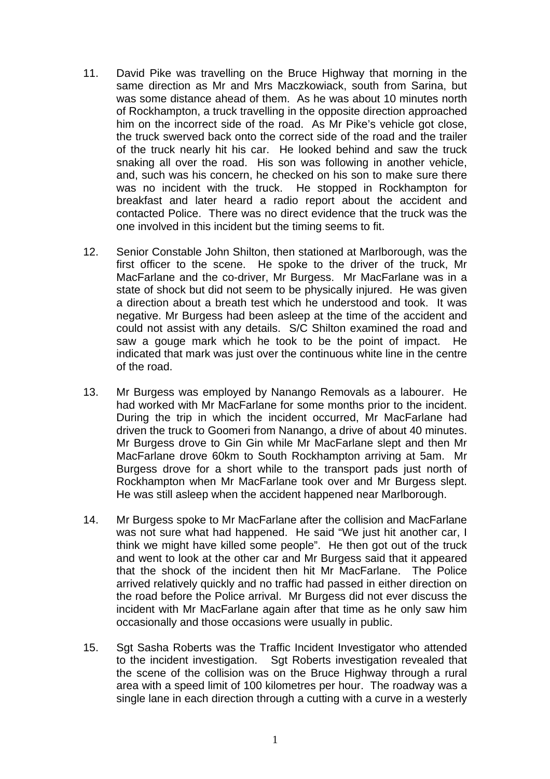- 11. David Pike was travelling on the Bruce Highway that morning in the same direction as Mr and Mrs Maczkowiack, south from Sarina, but was some distance ahead of them. As he was about 10 minutes north of Rockhampton, a truck travelling in the opposite direction approached him on the incorrect side of the road. As Mr Pike's vehicle got close, the truck swerved back onto the correct side of the road and the trailer of the truck nearly hit his car. He looked behind and saw the truck snaking all over the road. His son was following in another vehicle, and, such was his concern, he checked on his son to make sure there was no incident with the truck. He stopped in Rockhampton for breakfast and later heard a radio report about the accident and contacted Police. There was no direct evidence that the truck was the one involved in this incident but the timing seems to fit.
- 12. Senior Constable John Shilton, then stationed at Marlborough, was the first officer to the scene. He spoke to the driver of the truck, Mr MacFarlane and the co-driver, Mr Burgess. Mr MacFarlane was in a state of shock but did not seem to be physically injured. He was given a direction about a breath test which he understood and took. It was negative. Mr Burgess had been asleep at the time of the accident and could not assist with any details. S/C Shilton examined the road and saw a gouge mark which he took to be the point of impact. He indicated that mark was just over the continuous white line in the centre of the road.
- 13. Mr Burgess was employed by Nanango Removals as a labourer. He had worked with Mr MacFarlane for some months prior to the incident. During the trip in which the incident occurred, Mr MacFarlane had driven the truck to Goomeri from Nanango, a drive of about 40 minutes. Mr Burgess drove to Gin Gin while Mr MacFarlane slept and then Mr MacFarlane drove 60km to South Rockhampton arriving at 5am. Mr Burgess drove for a short while to the transport pads just north of Rockhampton when Mr MacFarlane took over and Mr Burgess slept. He was still asleep when the accident happened near Marlborough.
- 14. Mr Burgess spoke to Mr MacFarlane after the collision and MacFarlane was not sure what had happened. He said "We just hit another car, I think we might have killed some people". He then got out of the truck and went to look at the other car and Mr Burgess said that it appeared that the shock of the incident then hit Mr MacFarlane. The Police arrived relatively quickly and no traffic had passed in either direction on the road before the Police arrival. Mr Burgess did not ever discuss the incident with Mr MacFarlane again after that time as he only saw him occasionally and those occasions were usually in public.
- 15. Sgt Sasha Roberts was the Traffic Incident Investigator who attended to the incident investigation. Sgt Roberts investigation revealed that the scene of the collision was on the Bruce Highway through a rural area with a speed limit of 100 kilometres per hour. The roadway was a single lane in each direction through a cutting with a curve in a westerly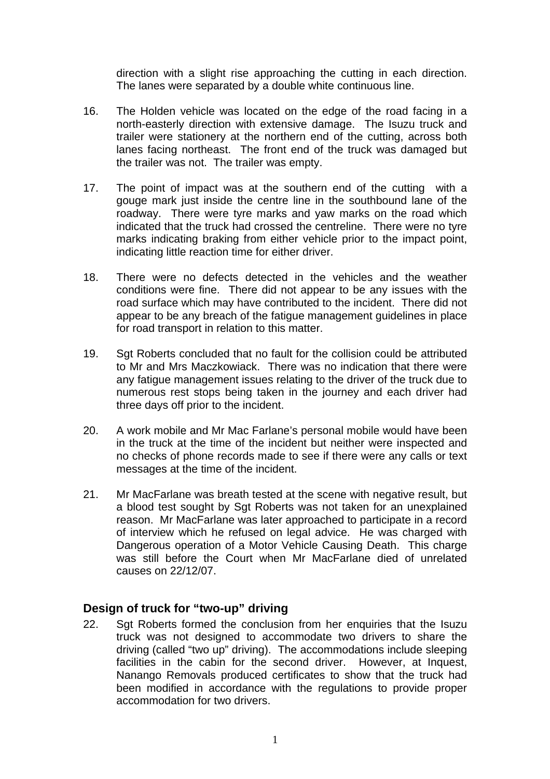direction with a slight rise approaching the cutting in each direction. The lanes were separated by a double white continuous line.

- 16. The Holden vehicle was located on the edge of the road facing in a north-easterly direction with extensive damage. The Isuzu truck and trailer were stationery at the northern end of the cutting, across both lanes facing northeast. The front end of the truck was damaged but the trailer was not. The trailer was empty.
- 17. The point of impact was at the southern end of the cutting with a gouge mark just inside the centre line in the southbound lane of the roadway. There were tyre marks and yaw marks on the road which indicated that the truck had crossed the centreline. There were no tyre marks indicating braking from either vehicle prior to the impact point, indicating little reaction time for either driver.
- 18. There were no defects detected in the vehicles and the weather conditions were fine. There did not appear to be any issues with the road surface which may have contributed to the incident. There did not appear to be any breach of the fatigue management guidelines in place for road transport in relation to this matter.
- 19. Sgt Roberts concluded that no fault for the collision could be attributed to Mr and Mrs Maczkowiack. There was no indication that there were any fatigue management issues relating to the driver of the truck due to numerous rest stops being taken in the journey and each driver had three days off prior to the incident.
- 20. A work mobile and Mr Mac Farlane's personal mobile would have been in the truck at the time of the incident but neither were inspected and no checks of phone records made to see if there were any calls or text messages at the time of the incident.
- 21. Mr MacFarlane was breath tested at the scene with negative result, but a blood test sought by Sgt Roberts was not taken for an unexplained reason. Mr MacFarlane was later approached to participate in a record of interview which he refused on legal advice. He was charged with Dangerous operation of a Motor Vehicle Causing Death. This charge was still before the Court when Mr MacFarlane died of unrelated causes on 22/12/07.

## **Design of truck for "two-up" driving**

22. Sat Roberts formed the conclusion from her enquiries that the Isuzu truck was not designed to accommodate two drivers to share the driving (called "two up" driving). The accommodations include sleeping facilities in the cabin for the second driver. However, at Inquest, Nanango Removals produced certificates to show that the truck had been modified in accordance with the regulations to provide proper accommodation for two drivers.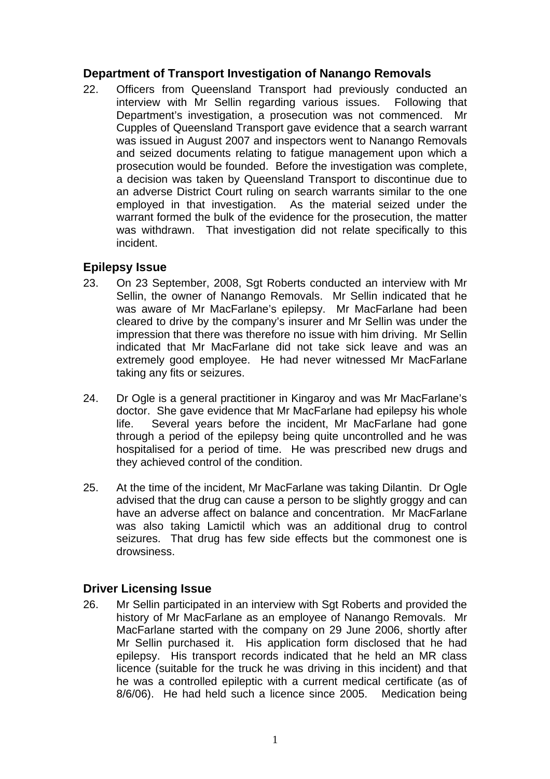# **Department of Transport Investigation of Nanango Removals**

22. Officers from Queensland Transport had previously conducted an interview with Mr Sellin regarding various issues. Following that Department's investigation, a prosecution was not commenced. Mr Cupples of Queensland Transport gave evidence that a search warrant was issued in August 2007 and inspectors went to Nanango Removals and seized documents relating to fatigue management upon which a prosecution would be founded. Before the investigation was complete, a decision was taken by Queensland Transport to discontinue due to an adverse District Court ruling on search warrants similar to the one employed in that investigation. As the material seized under the warrant formed the bulk of the evidence for the prosecution, the matter was withdrawn. That investigation did not relate specifically to this incident.

## **Epilepsy Issue**

- 23. On 23 September, 2008, Sgt Roberts conducted an interview with Mr Sellin, the owner of Nanango Removals. Mr Sellin indicated that he was aware of Mr MacFarlane's epilepsy. Mr MacFarlane had been cleared to drive by the company's insurer and Mr Sellin was under the impression that there was therefore no issue with him driving. Mr Sellin indicated that Mr MacFarlane did not take sick leave and was an extremely good employee. He had never witnessed Mr MacFarlane taking any fits or seizures.
- 24. Dr Ogle is a general practitioner in Kingaroy and was Mr MacFarlane's doctor. She gave evidence that Mr MacFarlane had epilepsy his whole life. Several years before the incident, Mr MacFarlane had gone through a period of the epilepsy being quite uncontrolled and he was hospitalised for a period of time. He was prescribed new drugs and they achieved control of the condition.
- 25. At the time of the incident, Mr MacFarlane was taking Dilantin. Dr Ogle advised that the drug can cause a person to be slightly groggy and can have an adverse affect on balance and concentration. Mr MacFarlane was also taking Lamictil which was an additional drug to control seizures. That drug has few side effects but the commonest one is drowsiness.

# **Driver Licensing Issue**

26. Mr Sellin participated in an interview with Sgt Roberts and provided the history of Mr MacFarlane as an employee of Nanango Removals. Mr MacFarlane started with the company on 29 June 2006, shortly after Mr Sellin purchased it. His application form disclosed that he had epilepsy. His transport records indicated that he held an MR class licence (suitable for the truck he was driving in this incident) and that he was a controlled epileptic with a current medical certificate (as of 8/6/06). He had held such a licence since 2005. Medication being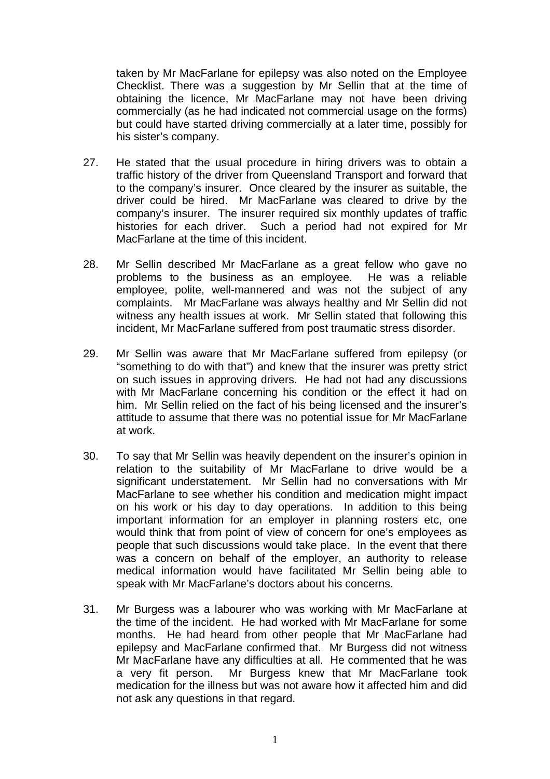taken by Mr MacFarlane for epilepsy was also noted on the Employee Checklist. There was a suggestion by Mr Sellin that at the time of obtaining the licence, Mr MacFarlane may not have been driving commercially (as he had indicated not commercial usage on the forms) but could have started driving commercially at a later time, possibly for his sister's company.

- 27. He stated that the usual procedure in hiring drivers was to obtain a traffic history of the driver from Queensland Transport and forward that to the company's insurer. Once cleared by the insurer as suitable, the driver could be hired. Mr MacFarlane was cleared to drive by the company's insurer. The insurer required six monthly updates of traffic histories for each driver. Such a period had not expired for Mr MacFarlane at the time of this incident.
- 28. Mr Sellin described Mr MacFarlane as a great fellow who gave no problems to the business as an employee. He was a reliable employee, polite, well-mannered and was not the subject of any complaints. Mr MacFarlane was always healthy and Mr Sellin did not witness any health issues at work. Mr Sellin stated that following this incident, Mr MacFarlane suffered from post traumatic stress disorder.
- 29. Mr Sellin was aware that Mr MacFarlane suffered from epilepsy (or "something to do with that") and knew that the insurer was pretty strict on such issues in approving drivers. He had not had any discussions with Mr MacFarlane concerning his condition or the effect it had on him. Mr Sellin relied on the fact of his being licensed and the insurer's attitude to assume that there was no potential issue for Mr MacFarlane at work.
- 30. To say that Mr Sellin was heavily dependent on the insurer's opinion in relation to the suitability of Mr MacFarlane to drive would be a significant understatement. Mr Sellin had no conversations with Mr MacFarlane to see whether his condition and medication might impact on his work or his day to day operations. In addition to this being important information for an employer in planning rosters etc, one would think that from point of view of concern for one's employees as people that such discussions would take place. In the event that there was a concern on behalf of the employer, an authority to release medical information would have facilitated Mr Sellin being able to speak with Mr MacFarlane's doctors about his concerns.
- 31. Mr Burgess was a labourer who was working with Mr MacFarlane at the time of the incident. He had worked with Mr MacFarlane for some months. He had heard from other people that Mr MacFarlane had epilepsy and MacFarlane confirmed that. Mr Burgess did not witness Mr MacFarlane have any difficulties at all. He commented that he was a very fit person. Mr Burgess knew that Mr MacFarlane took medication for the illness but was not aware how it affected him and did not ask any questions in that regard.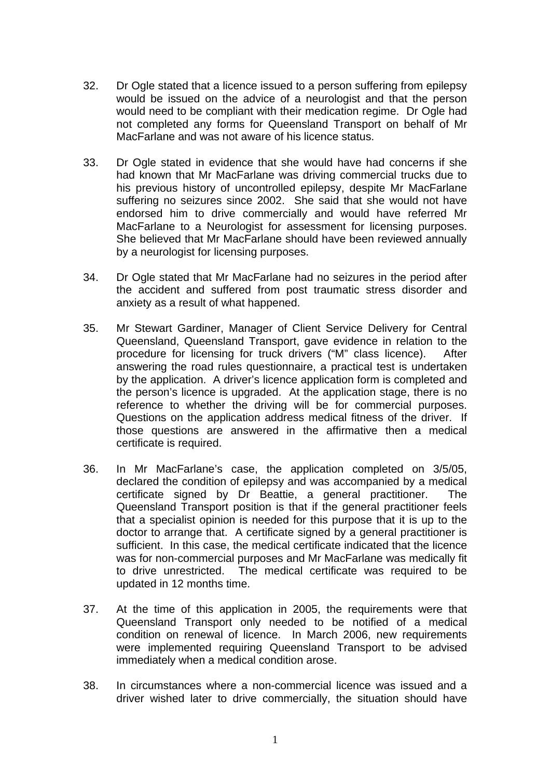- 32. Dr Ogle stated that a licence issued to a person suffering from epilepsy would be issued on the advice of a neurologist and that the person would need to be compliant with their medication regime. Dr Ogle had not completed any forms for Queensland Transport on behalf of Mr MacFarlane and was not aware of his licence status.
- 33. Dr Ogle stated in evidence that she would have had concerns if she had known that Mr MacFarlane was driving commercial trucks due to his previous history of uncontrolled epilepsy, despite Mr MacFarlane suffering no seizures since 2002. She said that she would not have endorsed him to drive commercially and would have referred Mr MacFarlane to a Neurologist for assessment for licensing purposes. She believed that Mr MacFarlane should have been reviewed annually by a neurologist for licensing purposes.
- 34. Dr Ogle stated that Mr MacFarlane had no seizures in the period after the accident and suffered from post traumatic stress disorder and anxiety as a result of what happened.
- 35. Mr Stewart Gardiner, Manager of Client Service Delivery for Central Queensland, Queensland Transport, gave evidence in relation to the procedure for licensing for truck drivers ("M" class licence). After answering the road rules questionnaire, a practical test is undertaken by the application. A driver's licence application form is completed and the person's licence is upgraded. At the application stage, there is no reference to whether the driving will be for commercial purposes. Questions on the application address medical fitness of the driver. If those questions are answered in the affirmative then a medical certificate is required.
- 36. In Mr MacFarlane's case, the application completed on 3/5/05, declared the condition of epilepsy and was accompanied by a medical certificate signed by Dr Beattie, a general practitioner. The Queensland Transport position is that if the general practitioner feels that a specialist opinion is needed for this purpose that it is up to the doctor to arrange that. A certificate signed by a general practitioner is sufficient. In this case, the medical certificate indicated that the licence was for non-commercial purposes and Mr MacFarlane was medically fit to drive unrestricted. The medical certificate was required to be updated in 12 months time.
- 37. At the time of this application in 2005, the requirements were that Queensland Transport only needed to be notified of a medical condition on renewal of licence. In March 2006, new requirements were implemented requiring Queensland Transport to be advised immediately when a medical condition arose.
- 38. In circumstances where a non-commercial licence was issued and a driver wished later to drive commercially, the situation should have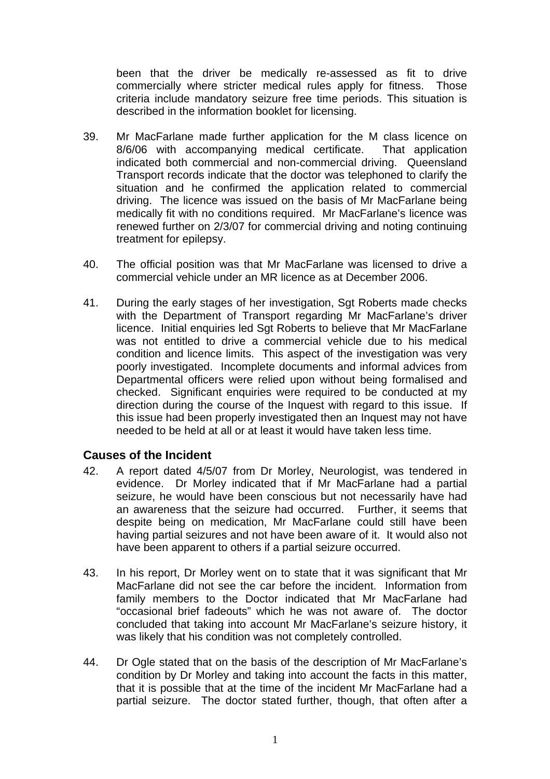been that the driver be medically re-assessed as fit to drive commercially where stricter medical rules apply for fitness. Those criteria include mandatory seizure free time periods. This situation is described in the information booklet for licensing.

- 39. Mr MacFarlane made further application for the M class licence on 8/6/06 with accompanying medical certificate. That application indicated both commercial and non-commercial driving. Queensland Transport records indicate that the doctor was telephoned to clarify the situation and he confirmed the application related to commercial driving. The licence was issued on the basis of Mr MacFarlane being medically fit with no conditions required. Mr MacFarlane's licence was renewed further on 2/3/07 for commercial driving and noting continuing treatment for epilepsy.
- 40. The official position was that Mr MacFarlane was licensed to drive a commercial vehicle under an MR licence as at December 2006.
- 41. During the early stages of her investigation, Sgt Roberts made checks with the Department of Transport regarding Mr MacFarlane's driver licence. Initial enquiries led Sgt Roberts to believe that Mr MacFarlane was not entitled to drive a commercial vehicle due to his medical condition and licence limits. This aspect of the investigation was very poorly investigated. Incomplete documents and informal advices from Departmental officers were relied upon without being formalised and checked. Significant enquiries were required to be conducted at my direction during the course of the Inquest with regard to this issue. If this issue had been properly investigated then an Inquest may not have needed to be held at all or at least it would have taken less time.

### **Causes of the Incident**

- 42. A report dated 4/5/07 from Dr Morley, Neurologist, was tendered in evidence. Dr Morley indicated that if Mr MacFarlane had a partial seizure, he would have been conscious but not necessarily have had an awareness that the seizure had occurred. Further, it seems that despite being on medication, Mr MacFarlane could still have been having partial seizures and not have been aware of it. It would also not have been apparent to others if a partial seizure occurred.
- 43. In his report, Dr Morley went on to state that it was significant that Mr MacFarlane did not see the car before the incident. Information from family members to the Doctor indicated that Mr MacFarlane had "occasional brief fadeouts" which he was not aware of. The doctor concluded that taking into account Mr MacFarlane's seizure history, it was likely that his condition was not completely controlled.
- 44. Dr Ogle stated that on the basis of the description of Mr MacFarlane's condition by Dr Morley and taking into account the facts in this matter, that it is possible that at the time of the incident Mr MacFarlane had a partial seizure. The doctor stated further, though, that often after a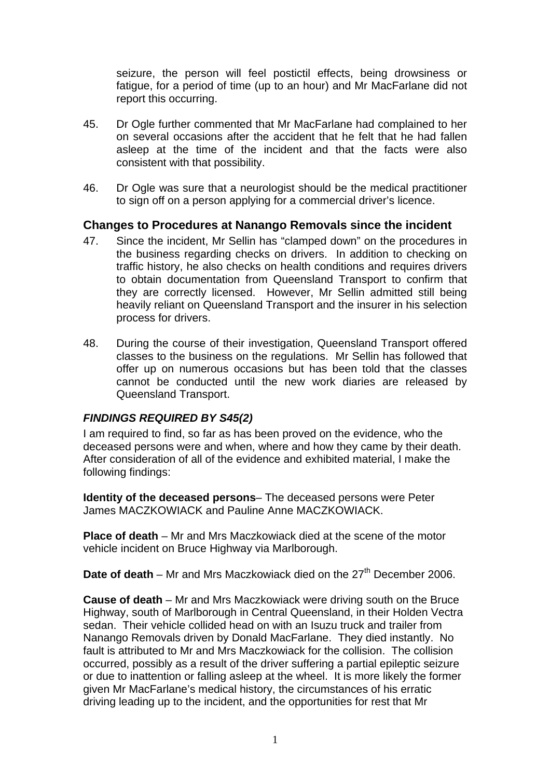seizure, the person will feel postictil effects, being drowsiness or fatigue, for a period of time (up to an hour) and Mr MacFarlane did not report this occurring.

- 45. Dr Ogle further commented that Mr MacFarlane had complained to her on several occasions after the accident that he felt that he had fallen asleep at the time of the incident and that the facts were also consistent with that possibility.
- 46. Dr Ogle was sure that a neurologist should be the medical practitioner to sign off on a person applying for a commercial driver's licence.

## **Changes to Procedures at Nanango Removals since the incident**

- 47. Since the incident, Mr Sellin has "clamped down" on the procedures in the business regarding checks on drivers. In addition to checking on traffic history, he also checks on health conditions and requires drivers to obtain documentation from Queensland Transport to confirm that they are correctly licensed. However, Mr Sellin admitted still being heavily reliant on Queensland Transport and the insurer in his selection process for drivers.
- 48. During the course of their investigation, Queensland Transport offered classes to the business on the regulations. Mr Sellin has followed that offer up on numerous occasions but has been told that the classes cannot be conducted until the new work diaries are released by Queensland Transport.

### *FINDINGS REQUIRED BY S45(2)*

I am required to find, so far as has been proved on the evidence, who the deceased persons were and when, where and how they came by their death. After consideration of all of the evidence and exhibited material, I make the following findings:

**Identity of the deceased persons**– The deceased persons were Peter James MACZKOWIACK and Pauline Anne MACZKOWIACK.

**Place of death** – Mr and Mrs Maczkowiack died at the scene of the motor vehicle incident on Bruce Highway via Marlborough.

**Date of death** – Mr and Mrs Maczkowiack died on the 27<sup>th</sup> December 2006.

**Cause of death** – Mr and Mrs Maczkowiack were driving south on the Bruce Highway, south of Marlborough in Central Queensland, in their Holden Vectra sedan. Their vehicle collided head on with an Isuzu truck and trailer from Nanango Removals driven by Donald MacFarlane. They died instantly. No fault is attributed to Mr and Mrs Maczkowiack for the collision. The collision occurred, possibly as a result of the driver suffering a partial epileptic seizure or due to inattention or falling asleep at the wheel. It is more likely the former given Mr MacFarlane's medical history, the circumstances of his erratic driving leading up to the incident, and the opportunities for rest that Mr